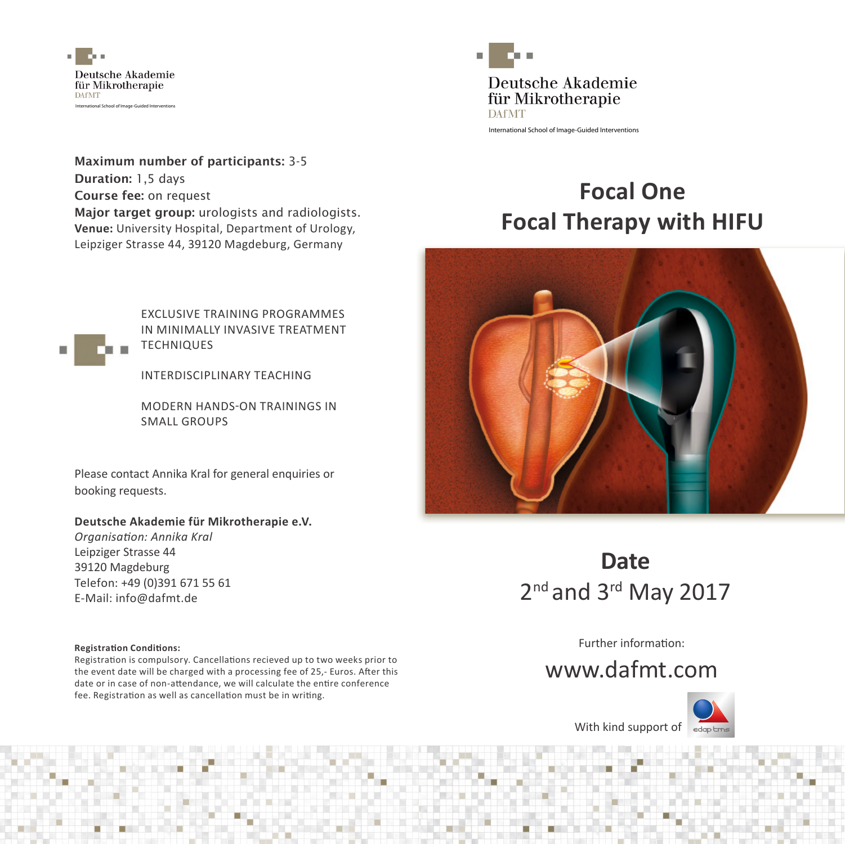

Maximum number of participants: 3-5 Duration: 1,5 days Course fee: on request Major target group: urologists and radiologists. **Venue:** University Hospital, Department of Urology, Leipziger Strasse 44, 39120 Magdeburg, Germany



EXCLUSIVE TRAINING PROGRAMMES IN MINIMALLY INVASIVE TREATMENT **TECHNIQUES** 

INTERDISCIPLINARY TEACHING

MODERN HANDS-ON TRAININGS IN SMALL GROUPS

Please contact Annika Kral for general enquiries or booking requests.

#### **Deutsche Akademie für Mikrotherapie e.V.**

*Organisation: Annika Kral*  Leipziger Strasse 44 39120 Magdeburg Telefon: +49 (0)391 671 55 61 E-Mail: info@dafmt.de

#### **Registration Conditions:**

Registration is compulsory. Cancellations recieved up to two weeks prior to the event date will be charged with a processing fee of 25,- Euros. After this date or in case of non-attendance, we will calculate the entire conference fee. Registration as well as cancellation must be in writing.



International School of Image-Guided Interventions

# **Focal One Focal Therapy with HIFU**



## **Date** 2<sup>nd</sup> and 3<sup>rd</sup> May 2017

Further information:

### www.dafmt.com



With kind support of